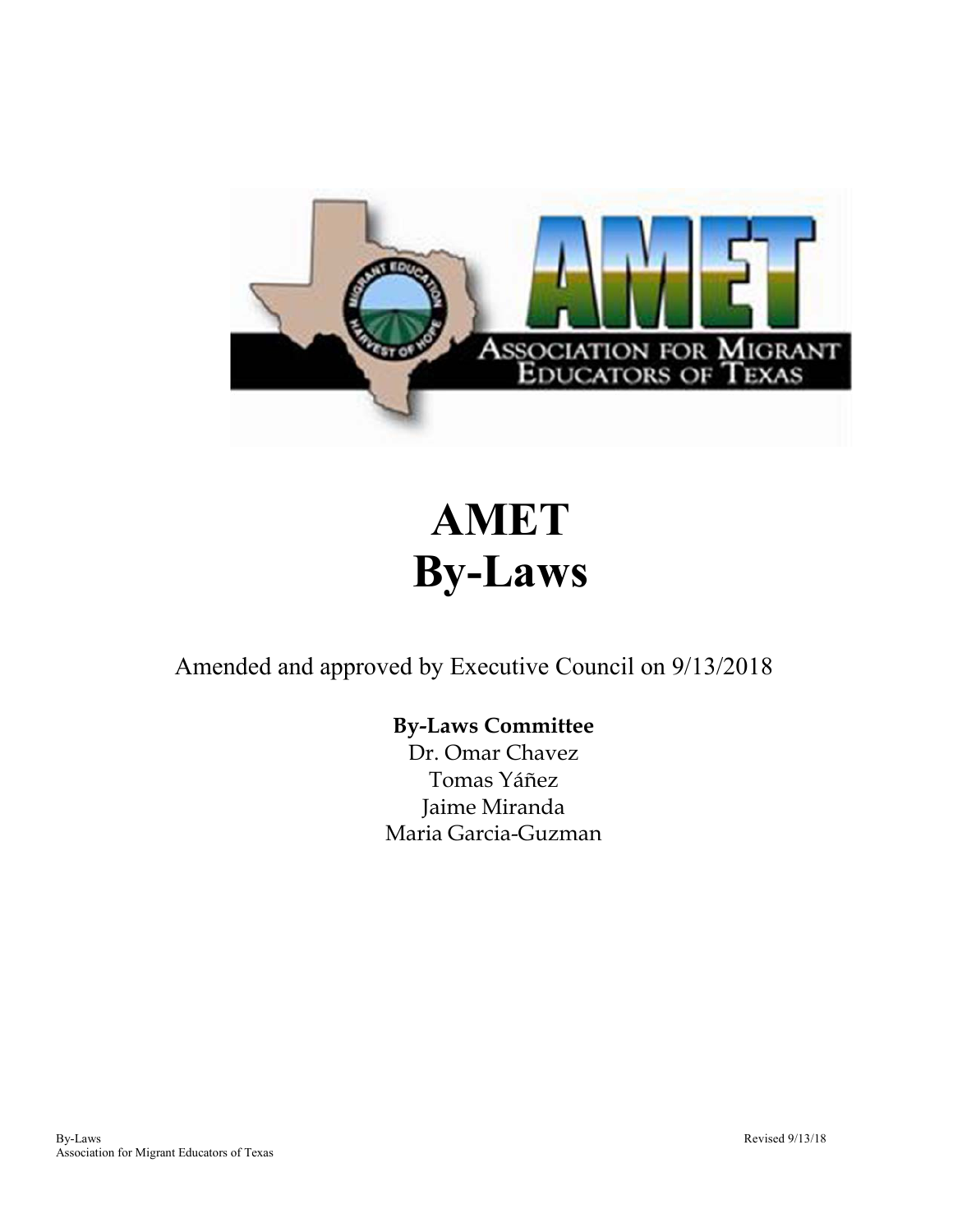

# **AMET By-Laws**

Amended and approved by Executive Council on 9/13/2018

# **By-Laws Committee**

Dr. Omar Chavez Tomas Yáñez Jaime Miranda Maria Garcia-Guzman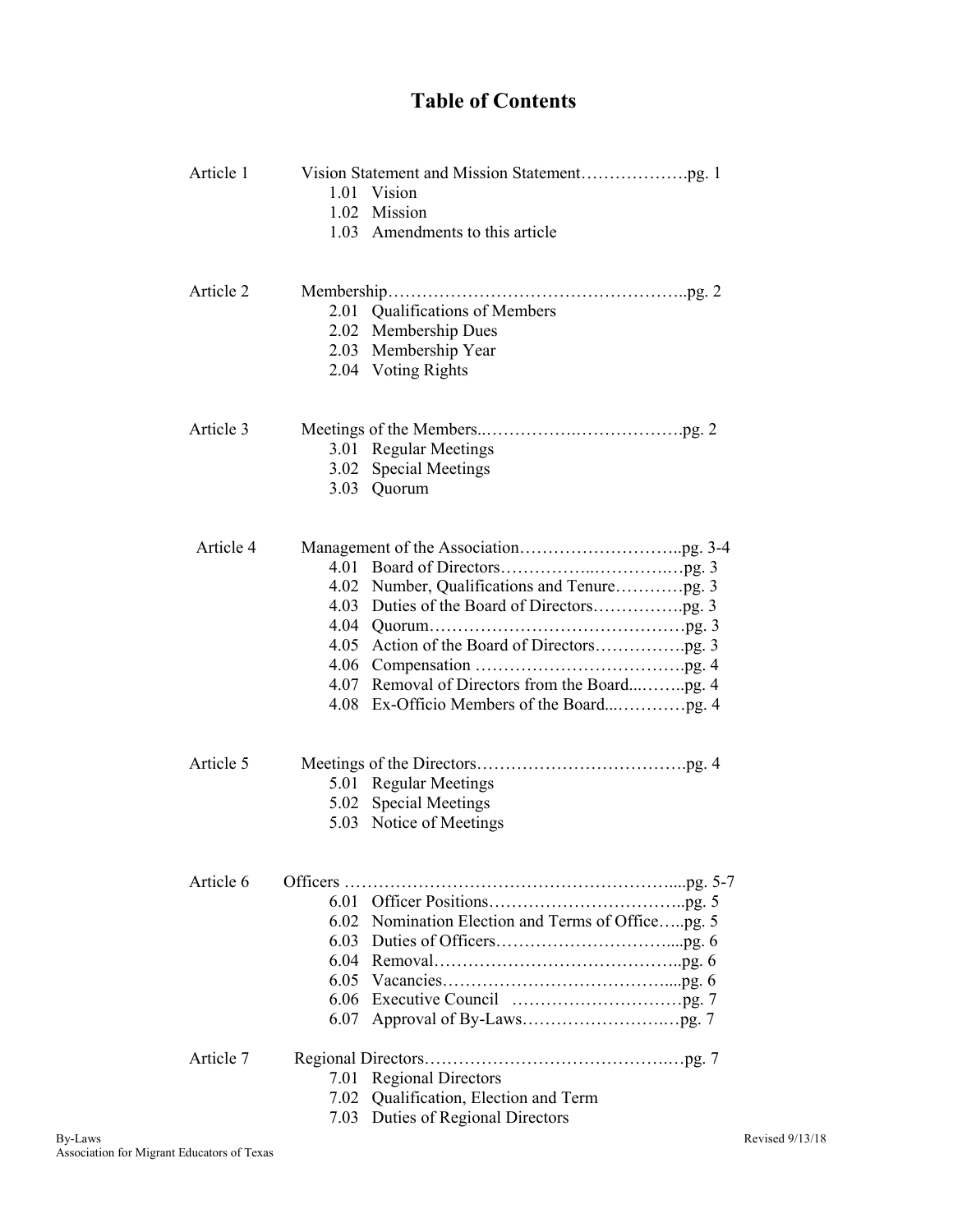# **Table of Contents**

| Article 1 |      |                                                   |  |
|-----------|------|---------------------------------------------------|--|
|           |      | 1.01 Vision                                       |  |
|           |      | 1.02 Mission                                      |  |
|           |      | 1.03 Amendments to this article                   |  |
| Article 2 |      |                                                   |  |
|           |      | 2.01 Qualifications of Members                    |  |
|           |      | 2.02 Membership Dues                              |  |
|           |      | 2.03 Membership Year                              |  |
|           |      | 2.04 Voting Rights                                |  |
|           |      |                                                   |  |
| Article 3 |      |                                                   |  |
|           |      | 3.01 Regular Meetings                             |  |
|           |      | 3.02 Special Meetings                             |  |
|           |      | 3.03 Quorum                                       |  |
| Article 4 |      |                                                   |  |
|           |      |                                                   |  |
|           |      |                                                   |  |
|           |      |                                                   |  |
|           |      |                                                   |  |
|           |      |                                                   |  |
|           |      |                                                   |  |
|           |      |                                                   |  |
|           |      |                                                   |  |
|           |      |                                                   |  |
| Article 5 |      |                                                   |  |
|           |      | 5.01 Regular Meetings                             |  |
|           |      | 5.02 Special Meetings                             |  |
|           |      | 5.03 Notice of Meetings                           |  |
| Article 6 |      |                                                   |  |
|           |      |                                                   |  |
|           |      | 6.02 Nomination Election and Terms of Officepg. 5 |  |
|           |      |                                                   |  |
|           |      |                                                   |  |
|           |      |                                                   |  |
|           | 6.06 |                                                   |  |
|           | 6.07 |                                                   |  |
| Article 7 |      |                                                   |  |
|           | 7.01 | <b>Regional Directors</b>                         |  |
|           | 7.02 | Qualification, Election and Term                  |  |
|           |      | 7.03 Duties of Regional Directors                 |  |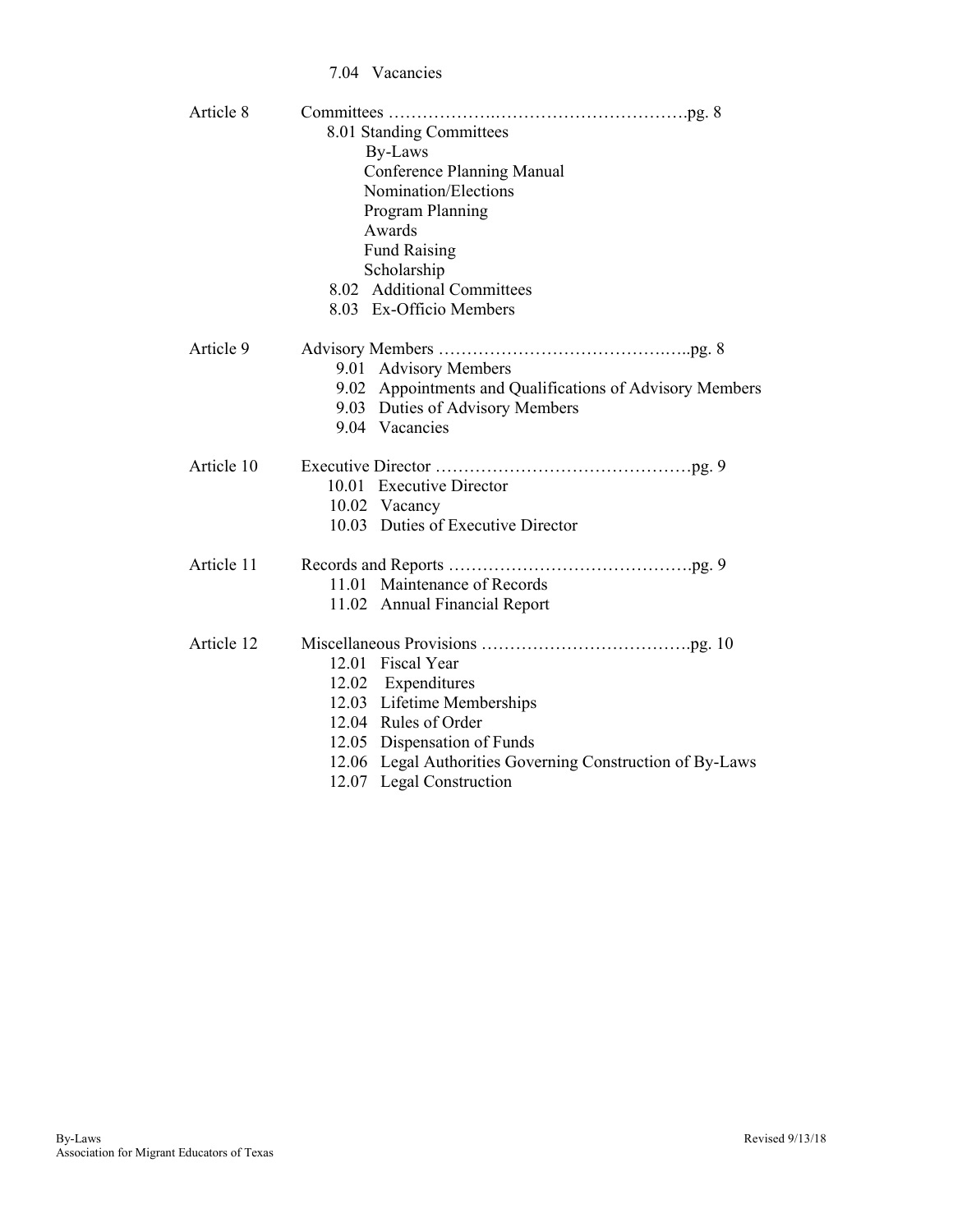#### 7.04 Vacancies

| 8.01 Standing Committees<br>By-Laws                       |  |  |  |
|-----------------------------------------------------------|--|--|--|
|                                                           |  |  |  |
|                                                           |  |  |  |
| <b>Conference Planning Manual</b>                         |  |  |  |
| Nomination/Elections                                      |  |  |  |
| Program Planning                                          |  |  |  |
| Awards                                                    |  |  |  |
| <b>Fund Raising</b>                                       |  |  |  |
| Scholarship                                               |  |  |  |
| 8.02 Additional Committees                                |  |  |  |
| 8.03 Ex-Officio Members                                   |  |  |  |
|                                                           |  |  |  |
| Article 9                                                 |  |  |  |
| 9.01 Advisory Members                                     |  |  |  |
| 9.02 Appointments and Qualifications of Advisory Members  |  |  |  |
| 9.03 Duties of Advisory Members                           |  |  |  |
| 9.04 Vacancies                                            |  |  |  |
|                                                           |  |  |  |
| Article 10                                                |  |  |  |
| 10.01 Executive Director                                  |  |  |  |
| 10.02 Vacancy                                             |  |  |  |
| 10.03 Duties of Executive Director                        |  |  |  |
|                                                           |  |  |  |
| Article 11                                                |  |  |  |
| 11.01 Maintenance of Records                              |  |  |  |
| 11.02 Annual Financial Report                             |  |  |  |
|                                                           |  |  |  |
| Article 12                                                |  |  |  |
| 12.01 Fiscal Year                                         |  |  |  |
| 12.02 Expenditures                                        |  |  |  |
| 12.03 Lifetime Memberships                                |  |  |  |
| 12.04 Rules of Order                                      |  |  |  |
| 12.05 Dispensation of Funds                               |  |  |  |
| 12.06 Legal Authorities Governing Construction of By-Laws |  |  |  |
| 12.07 Legal Construction                                  |  |  |  |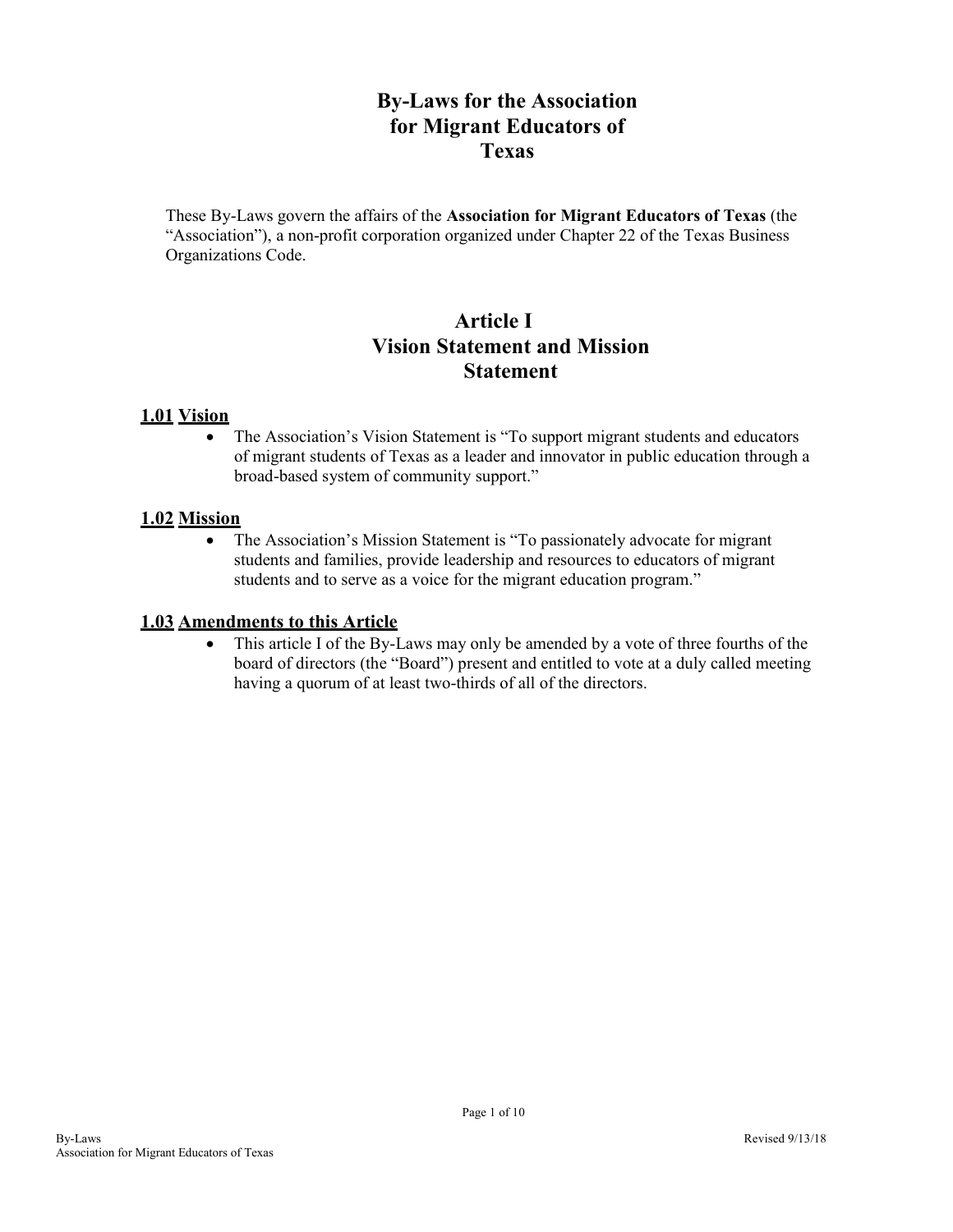# **By-Laws for the Association for Migrant Educators of Texas**

These By-Laws govern the affairs of the **Association for Migrant Educators of Texas** (the "Association"), a non-profit corporation organized under Chapter 22 of the Texas Business Organizations Code.

# **Article I Vision Statement and Mission Statement**

#### **1.01 Vision**

• The Association's Vision Statement is "To support migrant students and educators" of migrant students of Texas as a leader and innovator in public education through a broad-based system of community support."

#### **1.02 Mission**

• The Association's Mission Statement is "To passionately advocate for migrant students and families, provide leadership and resources to educators of migrant students and to serve as a voice for the migrant education program."

#### **1.03 Amendments to this Article**

 This article I of the By-Laws may only be amended by a vote of three fourths of the board of directors (the "Board") present and entitled to vote at a duly called meeting having a quorum of at least two-thirds of all of the directors.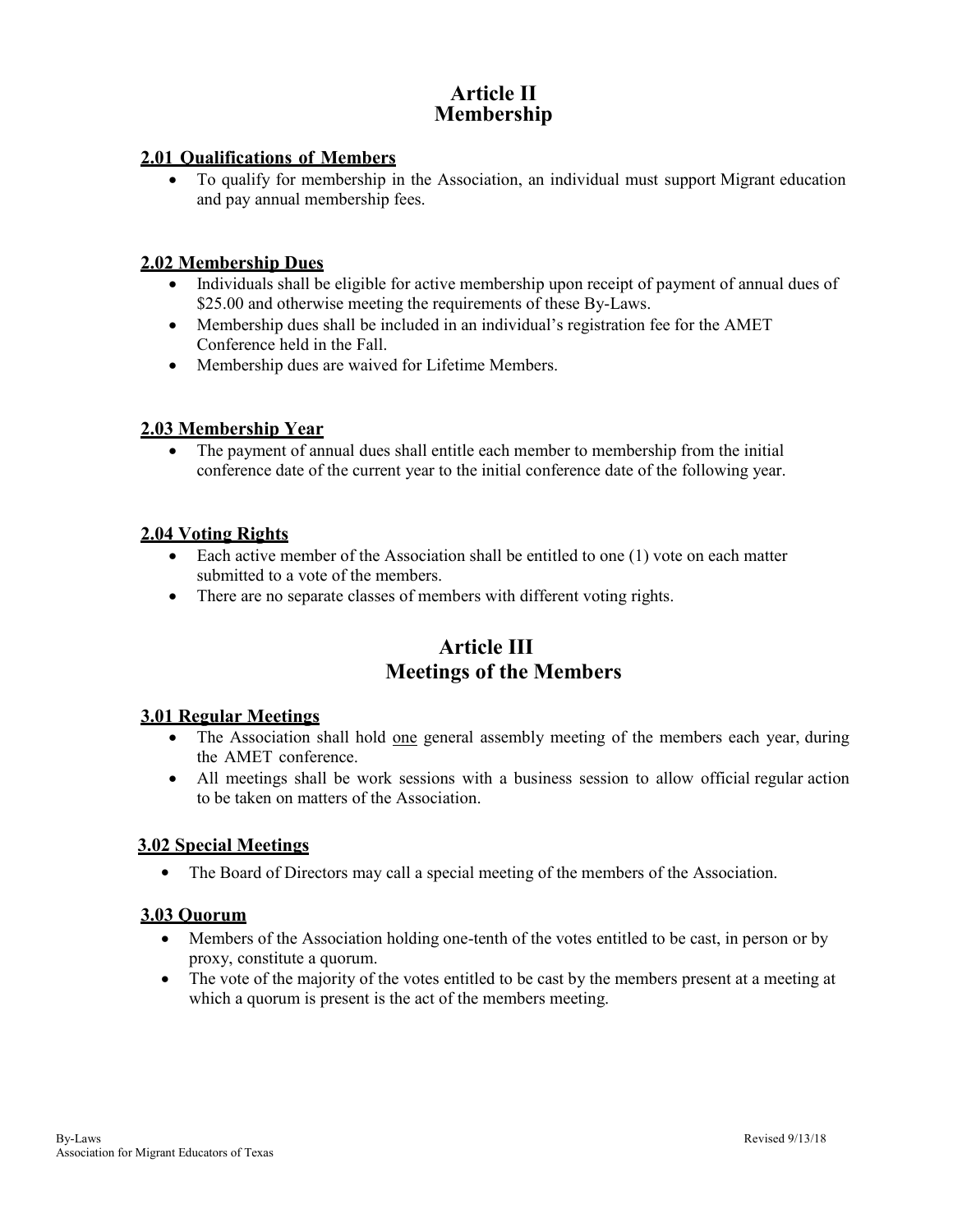# **Article II Membership**

#### **2.01 Qualifications of Members**

 To qualify for membership in the Association, an individual must support Migrant education and pay annual membership fees.

#### **2.02 Membership Dues**

- Individuals shall be eligible for active membership upon receipt of payment of annual dues of \$25.00 and otherwise meeting the requirements of these By-Laws.
- Membership dues shall be included in an individual's registration fee for the AMET Conference held in the Fall.
- Membership dues are waived for Lifetime Members.

#### **2.03 Membership Year**

 The payment of annual dues shall entitle each member to membership from the initial conference date of the current year to the initial conference date of the following year.

#### **2.04 Voting Rights**

- Each active member of the Association shall be entitled to one (1) vote on each matter submitted to a vote of the members.
- There are no separate classes of members with different voting rights.

# **Article III Meetings of the Members**

#### **3.01 Regular Meetings**

- The Association shall hold one general assembly meeting of the members each year, during the AMET conference.
- All meetings shall be work sessions with a business session to allow official regular action to be taken on matters of the Association.

#### **3.02 Special Meetings**

The Board of Directors may call a special meeting of the members of the Association.

#### **3.03 Quorum**

- Members of the Association holding one-tenth of the votes entitled to be cast, in person or by proxy, constitute a quorum.
- The vote of the majority of the votes entitled to be cast by the members present at a meeting at which a quorum is present is the act of the members meeting.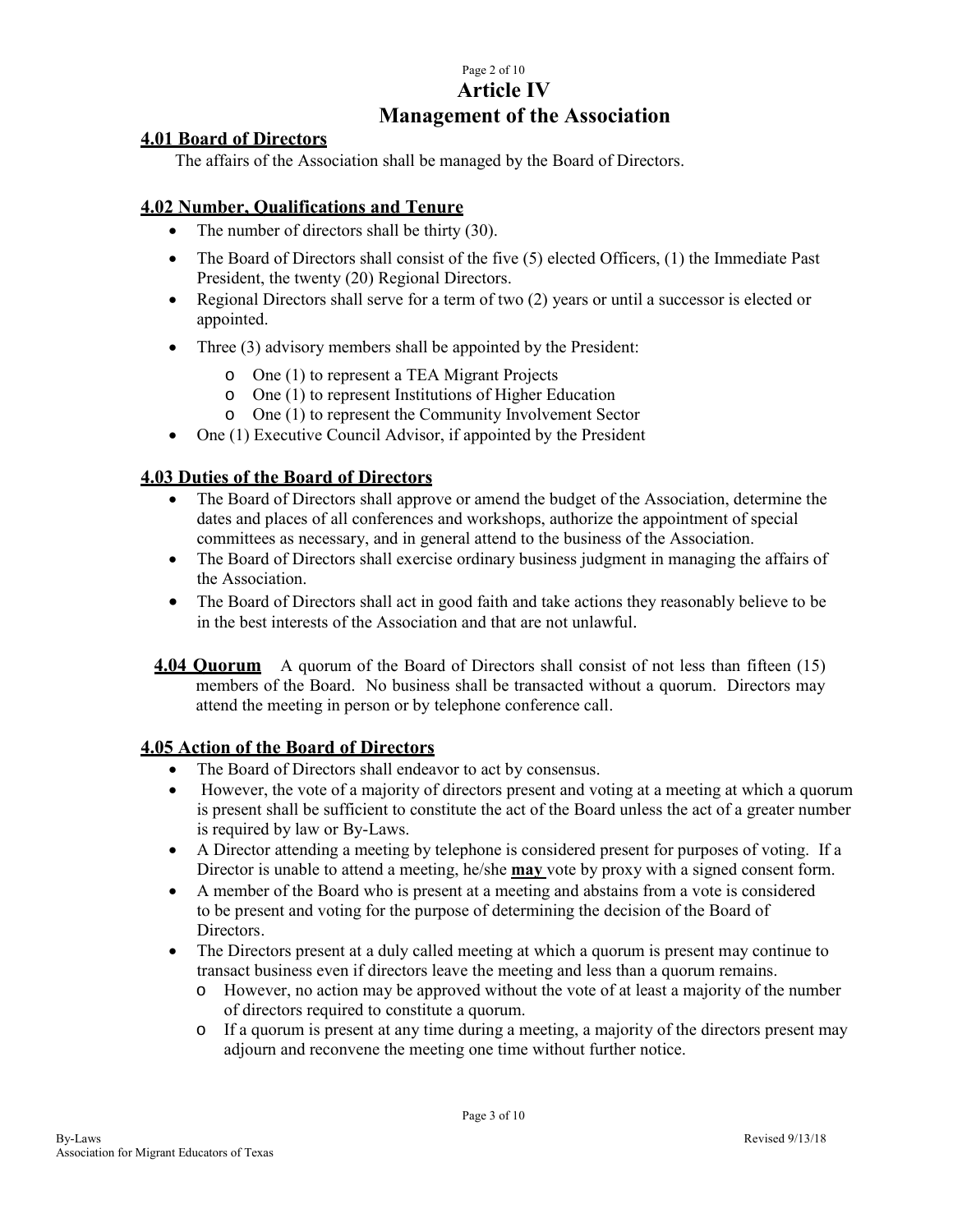# Page 2 of 10 **Article IV Management of the Association**

#### **4.01 Board of Directors**

The affairs of the Association shall be managed by the Board of Directors.

#### **4.02 Number, Qualifications and Tenure**

- The number of directors shall be thirty (30).
- The Board of Directors shall consist of the five (5) elected Officers, (1) the Immediate Past President, the twenty (20) Regional Directors.
- Regional Directors shall serve for a term of two (2) years or until a successor is elected or appointed.
- Three (3) advisory members shall be appointed by the President:
	- o One (1) to represent a TEA Migrant Projects
	- o One (1) to represent Institutions of Higher Education
	- o One (1) to represent the Community Involvement Sector
- One (1) Executive Council Advisor, if appointed by the President

# **4.03 Duties of the Board of Directors**

- The Board of Directors shall approve or amend the budget of the Association, determine the dates and places of all conferences and workshops, authorize the appointment of special committees as necessary, and in general attend to the business of the Association.
- The Board of Directors shall exercise ordinary business judgment in managing the affairs of the Association.
- The Board of Directors shall act in good faith and take actions they reasonably believe to be in the best interests of the Association and that are not unlawful.
- **4.04 Ouorum** A quorum of the Board of Directors shall consist of not less than fifteen (15) members of the Board. No business shall be transacted without a quorum. Directors may attend the meeting in person or by telephone conference call.

#### **4.05 Action of the Board of Directors**

- The Board of Directors shall endeavor to act by consensus.
- However, the vote of a majority of directors present and voting at a meeting at which a quorum is present shall be sufficient to constitute the act of the Board unless the act of a greater number is required by law or By-Laws.
- A Director attending a meeting by telephone is considered present for purposes of voting. If a Director is unable to attend a meeting, he/she **may** vote by proxy with a signed consent form.
- A member of the Board who is present at a meeting and abstains from a vote is considered to be present and voting for the purpose of determining the decision of the Board of Directors.
- The Directors present at a duly called meeting at which a quorum is present may continue to transact business even if directors leave the meeting and less than a quorum remains.
	- o However, no action may be approved without the vote of at least a majority of the number of directors required to constitute a quorum.
	- o If a quorum is present at any time during a meeting, a majority of the directors present may adjourn and reconvene the meeting one time without further notice.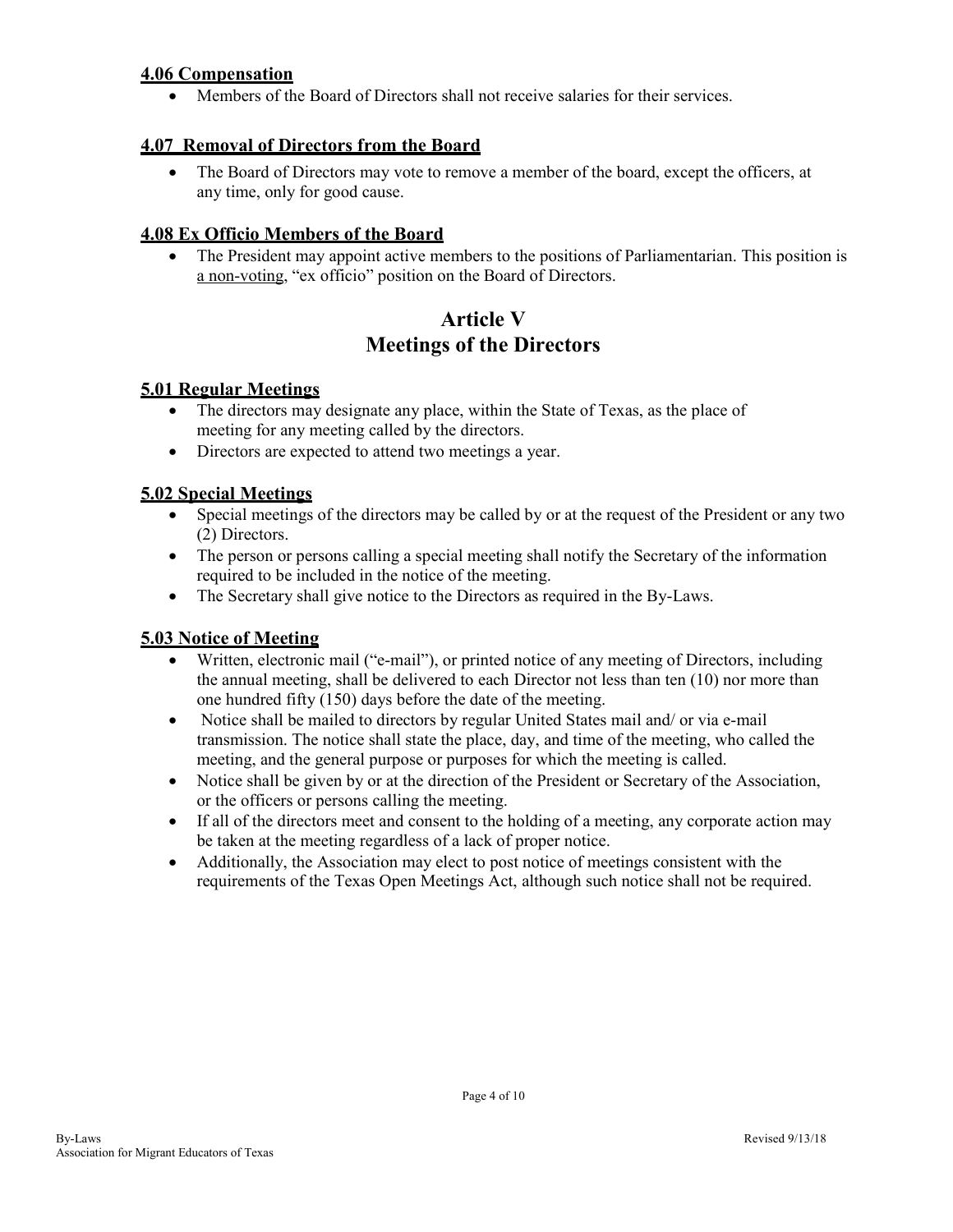# **4.06 Compensation**

Members of the Board of Directors shall not receive salaries for their services.

# **4.07 Removal of Directors from the Board**

• The Board of Directors may vote to remove a member of the board, except the officers, at any time, only for good cause.

# **4.08 Ex Officio Members of the Board**

 The President may appoint active members to the positions of Parliamentarian. This position is a non-voting, "ex officio" position on the Board of Directors.

# **Article V Meetings of the Directors**

#### **5.01 Regular Meetings**

- The directors may designate any place, within the State of Texas, as the place of meeting for any meeting called by the directors.
- Directors are expected to attend two meetings a year.

#### **5.02 Special Meetings**

- Special meetings of the directors may be called by or at the request of the President or any two (2) Directors.
- The person or persons calling a special meeting shall notify the Secretary of the information required to be included in the notice of the meeting.
- The Secretary shall give notice to the Directors as required in the By-Laws.

#### **5.03 Notice of Meeting**

- Written, electronic mail ("e-mail"), or printed notice of any meeting of Directors, including the annual meeting, shall be delivered to each Director not less than ten (10) nor more than one hundred fifty (150) days before the date of the meeting.
- Notice shall be mailed to directors by regular United States mail and/ or via e-mail transmission. The notice shall state the place, day, and time of the meeting, who called the meeting, and the general purpose or purposes for which the meeting is called.
- Notice shall be given by or at the direction of the President or Secretary of the Association, or the officers or persons calling the meeting.
- If all of the directors meet and consent to the holding of a meeting, any corporate action may be taken at the meeting regardless of a lack of proper notice.
- Additionally, the Association may elect to post notice of meetings consistent with the requirements of the Texas Open Meetings Act, although such notice shall not be required.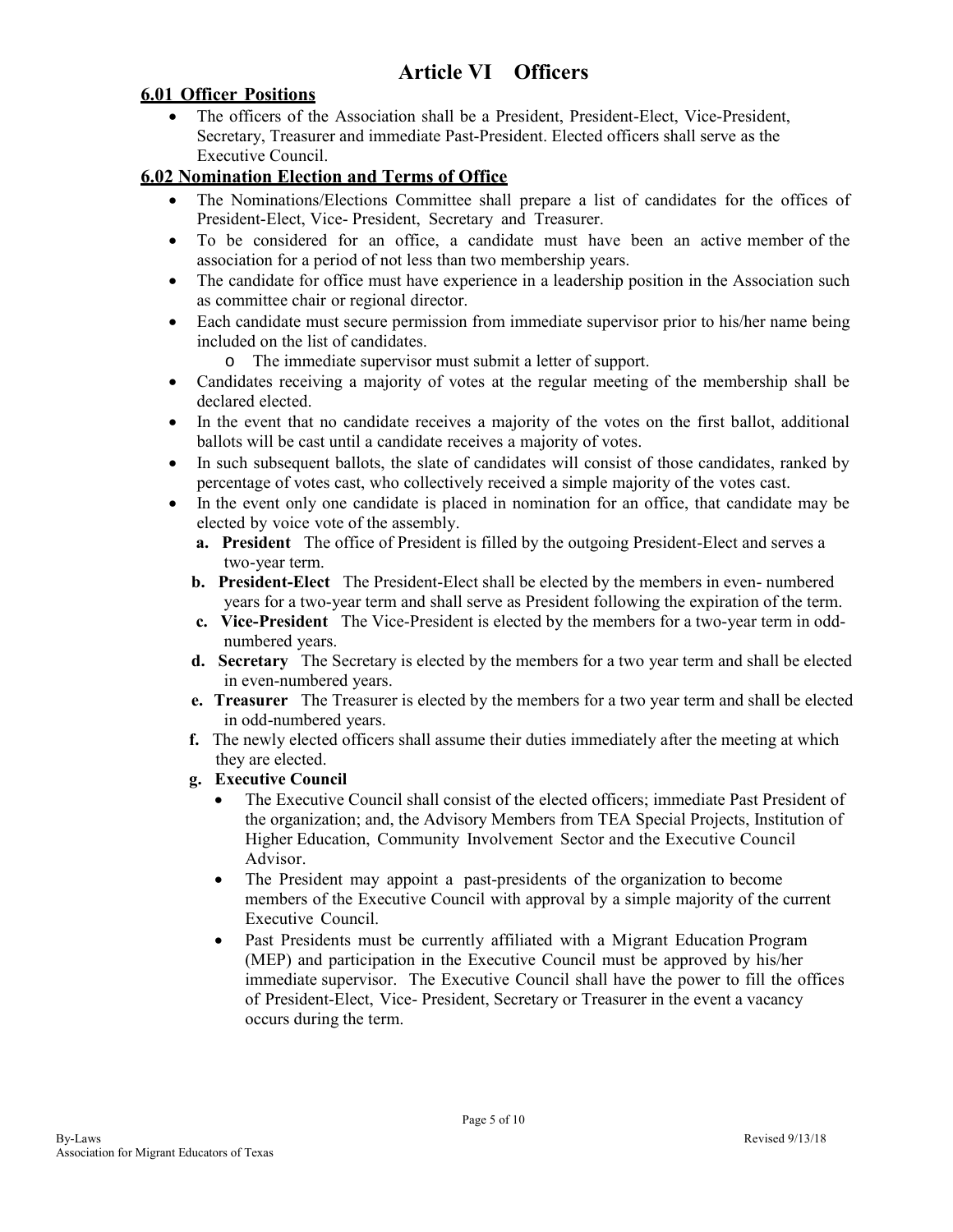# **Article VI Officers**

#### **6.01 Officer Positions**

 The officers of the Association shall be a President, President-Elect, Vice-President, Secretary, Treasurer and immediate Past-President. Elected officers shall serve as the Executive Council.

# **6.02 Nomination Election and Terms of Office**

- The Nominations/Elections Committee shall prepare a list of candidates for the offices of President-Elect, Vice- President, Secretary and Treasurer.
- To be considered for an office, a candidate must have been an active member of the association for a period of not less than two membership years.
- The candidate for office must have experience in a leadership position in the Association such as committee chair or regional director.
- Each candidate must secure permission from immediate supervisor prior to his/her name being included on the list of candidates.
	- o The immediate supervisor must submit a letter of support.
- Candidates receiving a majority of votes at the regular meeting of the membership shall be declared elected.
- In the event that no candidate receives a majority of the votes on the first ballot, additional ballots will be cast until a candidate receives a majority of votes.
- In such subsequent ballots, the slate of candidates will consist of those candidates, ranked by percentage of votes cast, who collectively received a simple majority of the votes cast.
- In the event only one candidate is placed in nomination for an office, that candidate may be elected by voice vote of the assembly.
	- **a. President** The office of President is filled by the outgoing President-Elect and serves a two-year term.
	- **b. President-Elect** The President-Elect shall be elected by the members in even- numbered years for a two-year term and shall serve as President following the expiration of the term.
	- **c. Vice-President** The Vice-President is elected by the members for a two-year term in oddnumbered years.
	- **d. Secretary** The Secretary is elected by the members for a two year term and shall be elected in even-numbered years.
	- **e. Treasurer** The Treasurer is elected by the members for a two year term and shall be elected in odd-numbered years.
	- **f.** The newly elected officers shall assume their duties immediately after the meeting at which they are elected.
	- **g. Executive Council** 
		- The Executive Council shall consist of the elected officers; immediate Past President of the organization; and, the Advisory Members from TEA Special Projects, Institution of Higher Education, Community Involvement Sector and the Executive Council Advisor.
		- The President may appoint a past-presidents of the organization to become members of the Executive Council with approval by a simple majority of the current Executive Council.
		- Past Presidents must be currently affiliated with a Migrant Education Program (MEP) and participation in the Executive Council must be approved by his/her immediate supervisor. The Executive Council shall have the power to fill the offices of President-Elect, Vice- President, Secretary or Treasurer in the event a vacancy occurs during the term.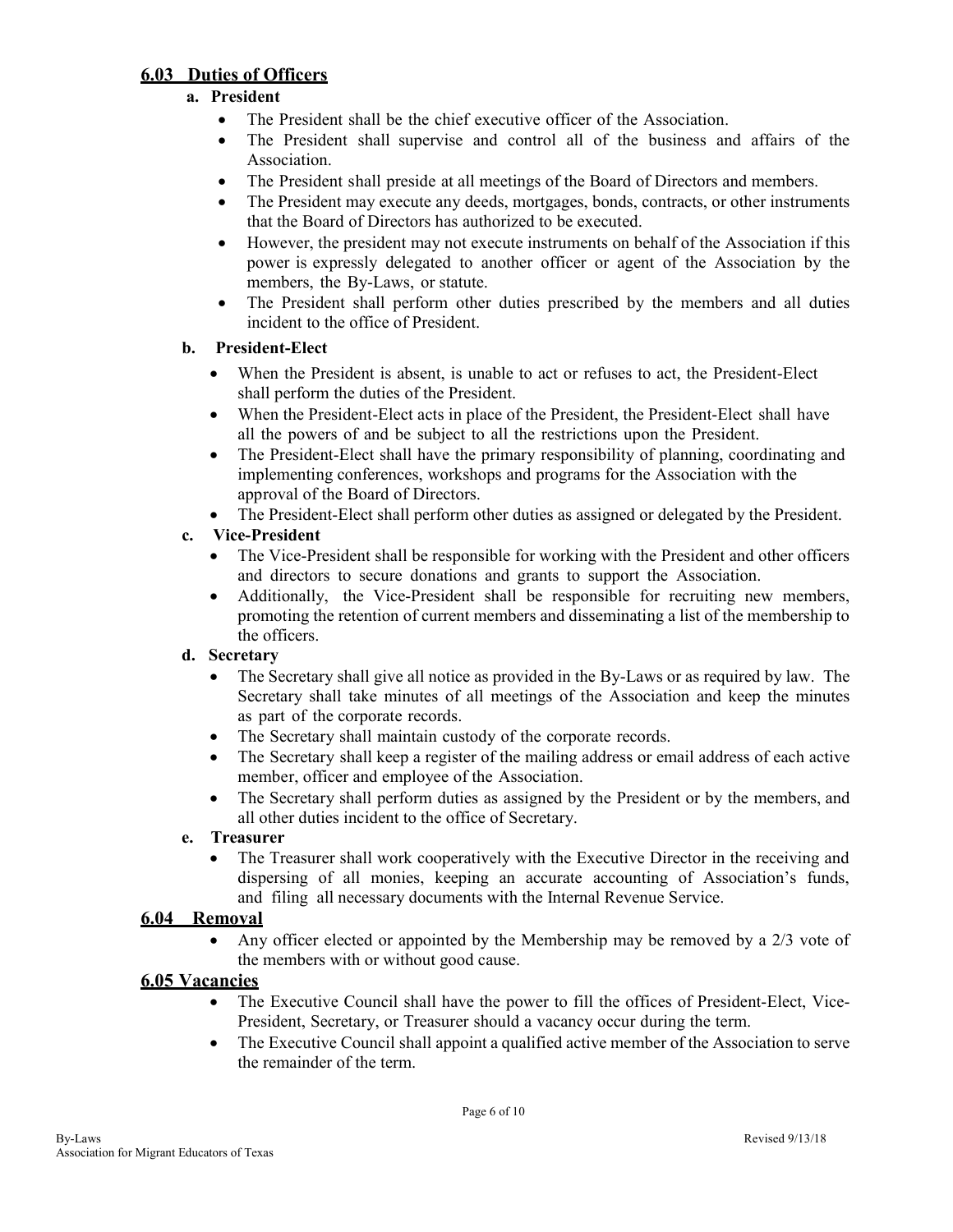# **6.03 Duties of Officers**

# **a. President**

- The President shall be the chief executive officer of the Association.
- The President shall supervise and control all of the business and affairs of the Association.
- The President shall preside at all meetings of the Board of Directors and members.
- The President may execute any deeds, mortgages, bonds, contracts, or other instruments that the Board of Directors has authorized to be executed.
- However, the president may not execute instruments on behalf of the Association if this power is expressly delegated to another officer or agent of the Association by the members, the By-Laws, or statute.
- The President shall perform other duties prescribed by the members and all duties incident to the office of President.

#### **b. President-Elect**

- When the President is absent, is unable to act or refuses to act, the President-Elect shall perform the duties of the President.
- When the President-Elect acts in place of the President, the President-Elect shall have all the powers of and be subject to all the restrictions upon the President.
- The President-Elect shall have the primary responsibility of planning, coordinating and implementing conferences, workshops and programs for the Association with the approval of the Board of Directors.
- The President-Elect shall perform other duties as assigned or delegated by the President.

#### **c. Vice-President**

- The Vice-President shall be responsible for working with the President and other officers and directors to secure donations and grants to support the Association.
- Additionally, the Vice-President shall be responsible for recruiting new members, promoting the retention of current members and disseminating a list of the membership to the officers.

#### **d. Secretary**

- The Secretary shall give all notice as provided in the By-Laws or as required by law. The Secretary shall take minutes of all meetings of the Association and keep the minutes as part of the corporate records.
- The Secretary shall maintain custody of the corporate records.
- The Secretary shall keep a register of the mailing address or email address of each active member, officer and employee of the Association.
- The Secretary shall perform duties as assigned by the President or by the members, and all other duties incident to the office of Secretary.

#### **e. Treasurer**

 The Treasurer shall work cooperatively with the Executive Director in the receiving and dispersing of all monies, keeping an accurate accounting of Association's funds, and filing all necessary documents with the Internal Revenue Service.

#### **6.04 Removal**

 Any officer elected or appointed by the Membership may be removed by a 2/3 vote of the members with or without good cause.

#### **6.05 Vacancies**

- The Executive Council shall have the power to fill the offices of President-Elect, Vice-President, Secretary, or Treasurer should a vacancy occur during the term.
- The Executive Council shall appoint a qualified active member of the Association to serve the remainder of the term.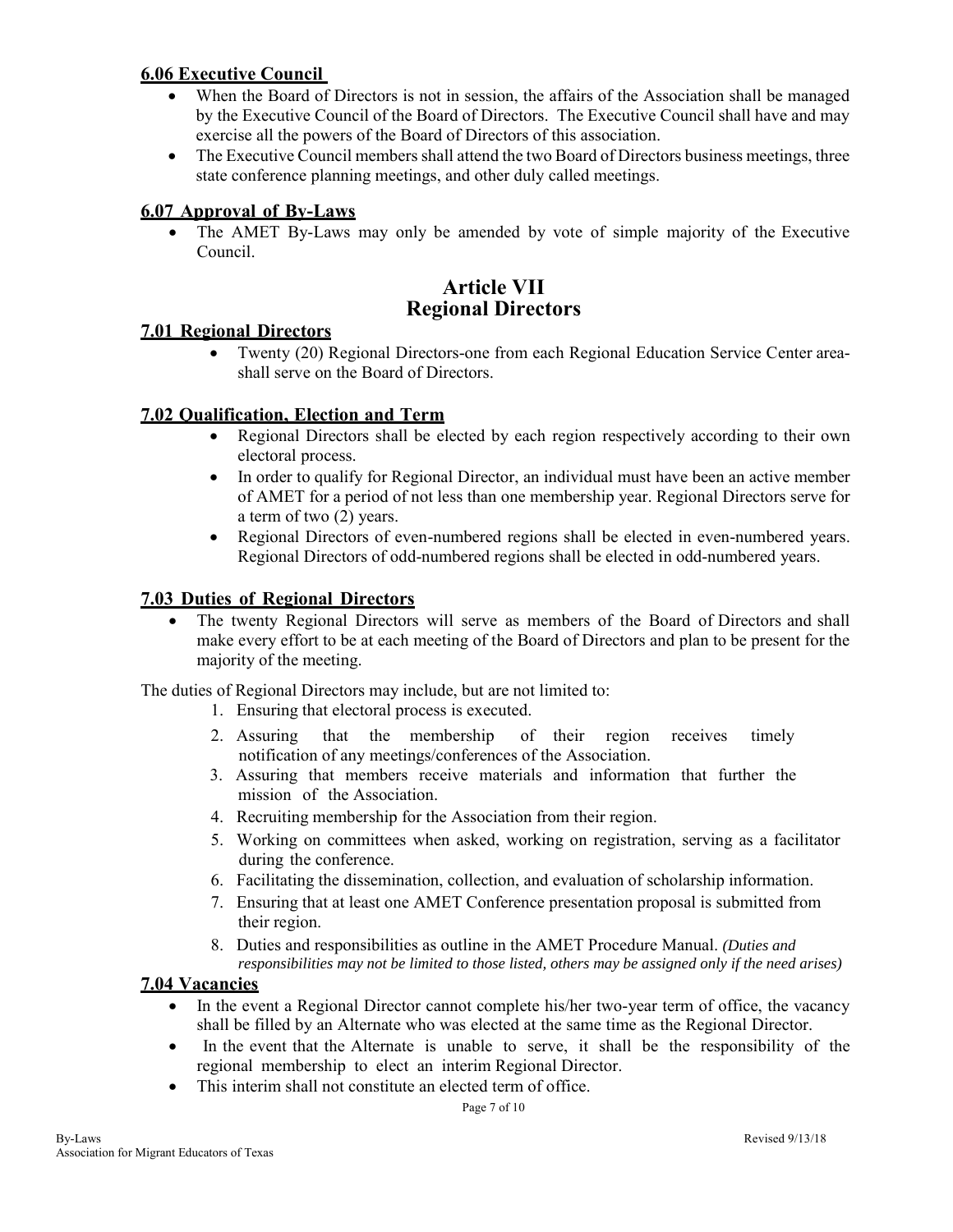# **6.06 Executive Council**

- When the Board of Directors is not in session, the affairs of the Association shall be managed by the Executive Council of the Board of Directors. The Executive Council shall have and may exercise all the powers of the Board of Directors of this association.
- The Executive Council members shall attend the two Board of Directors business meetings, three state conference planning meetings, and other duly called meetings.

#### **6.07 Approval of By-Laws**

 The AMET By-Laws may only be amended by vote of simple majority of the Executive Council.

# **Article VII Regional Directors**

#### **7.01 Regional Directors**

 Twenty (20) Regional Directors-one from each Regional Education Service Center areashall serve on the Board of Directors.

#### **7.02 Qualification, Election and Term**

- Regional Directors shall be elected by each region respectively according to their own electoral process.
- In order to qualify for Regional Director, an individual must have been an active member of AMET for a period of not less than one membership year. Regional Directors serve for a term of two (2) years.
- Regional Directors of even-numbered regions shall be elected in even-numbered years. Regional Directors of odd-numbered regions shall be elected in odd-numbered years.

#### **7.03 Duties of Regional Directors**

 The twenty Regional Directors will serve as members of the Board of Directors and shall make every effort to be at each meeting of the Board of Directors and plan to be present for the majority of the meeting.

The duties of Regional Directors may include, but are not limited to:

- 1. Ensuring that electoral process is executed.
- 2. Assuring that the membership of their region receives timely notification of any meetings/conferences of the Association.
- 3. Assuring that members receive materials and information that further the mission of the Association.
- 4. Recruiting membership for the Association from their region.
- 5. Working on committees when asked, working on registration, serving as a facilitator during the conference.
- 6. Facilitating the dissemination, collection, and evaluation of scholarship information.
- 7. Ensuring that at least one AMET Conference presentation proposal is submitted from their region.
- 8. Duties and responsibilities as outline in the AMET Procedure Manual. *(Duties and responsibilities may not be limited to those listed, others may be assigned only if the need arises)*

#### **7.04 Vacancies**

- In the event a Regional Director cannot complete his/her two-year term of office, the vacancy shall be filled by an Alternate who was elected at the same time as the Regional Director.
- In the event that the Alternate is unable to serve, it shall be the responsibility of the regional membership to elect an interim Regional Director.
- This interim shall not constitute an elected term of office.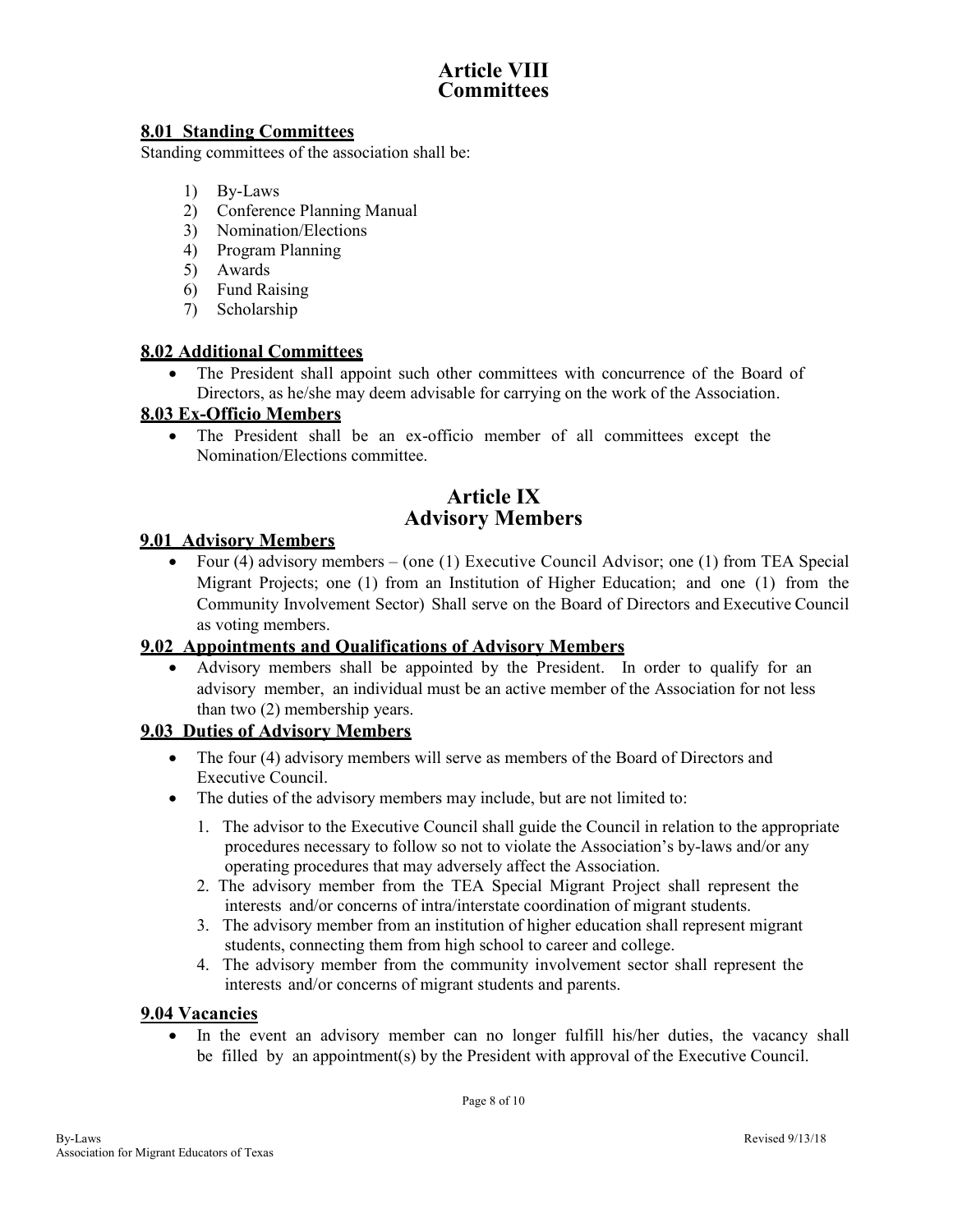# **Article VIII Committees**

# **8.01 Standing Committees**

Standing committees of the association shall be:

- 1) By-Laws
- 2) Conference Planning Manual
- 3) Nomination/Elections
- 4) Program Planning
- 5) Awards
- 6) Fund Raising
- 7) Scholarship

#### **8.02 Additional Committees**

 The President shall appoint such other committees with concurrence of the Board of Directors, as he/she may deem advisable for carrying on the work of the Association.

# **8.03 Ex-Officio Members**

 The President shall be an ex-officio member of all committees except the Nomination/Elections committee.

# **Article IX Advisory Members**

# **9.01 Advisory Members**

Four (4) advisory members – (one (1) Executive Council Advisor; one (1) from TEA Special Migrant Projects; one (1) from an Institution of Higher Education; and one (1) from the Community Involvement Sector) Shall serve on the Board of Directors and Executive Council as voting members.

#### **9.02 Appointments and Qualifications of Advisory Members**

 Advisory members shall be appointed by the President. In order to qualify for an advisory member, an individual must be an active member of the Association for not less than two (2) membership years.

#### **9.03 Duties of Advisory Members**

- The four (4) advisory members will serve as members of the Board of Directors and Executive Council.
- The duties of the advisory members may include, but are not limited to:
	- 1. The advisor to the Executive Council shall guide the Council in relation to the appropriate procedures necessary to follow so not to violate the Association's by-laws and/or any operating procedures that may adversely affect the Association.
	- 2. The advisory member from the TEA Special Migrant Project shall represent the interests and/or concerns of intra/interstate coordination of migrant students.
	- 3. The advisory member from an institution of higher education shall represent migrant students, connecting them from high school to career and college.
	- 4. The advisory member from the community involvement sector shall represent the interests and/or concerns of migrant students and parents.

#### **9.04 Vacancies**

 In the event an advisory member can no longer fulfill his/her duties, the vacancy shall be filled by an appointment(s) by the President with approval of the Executive Council.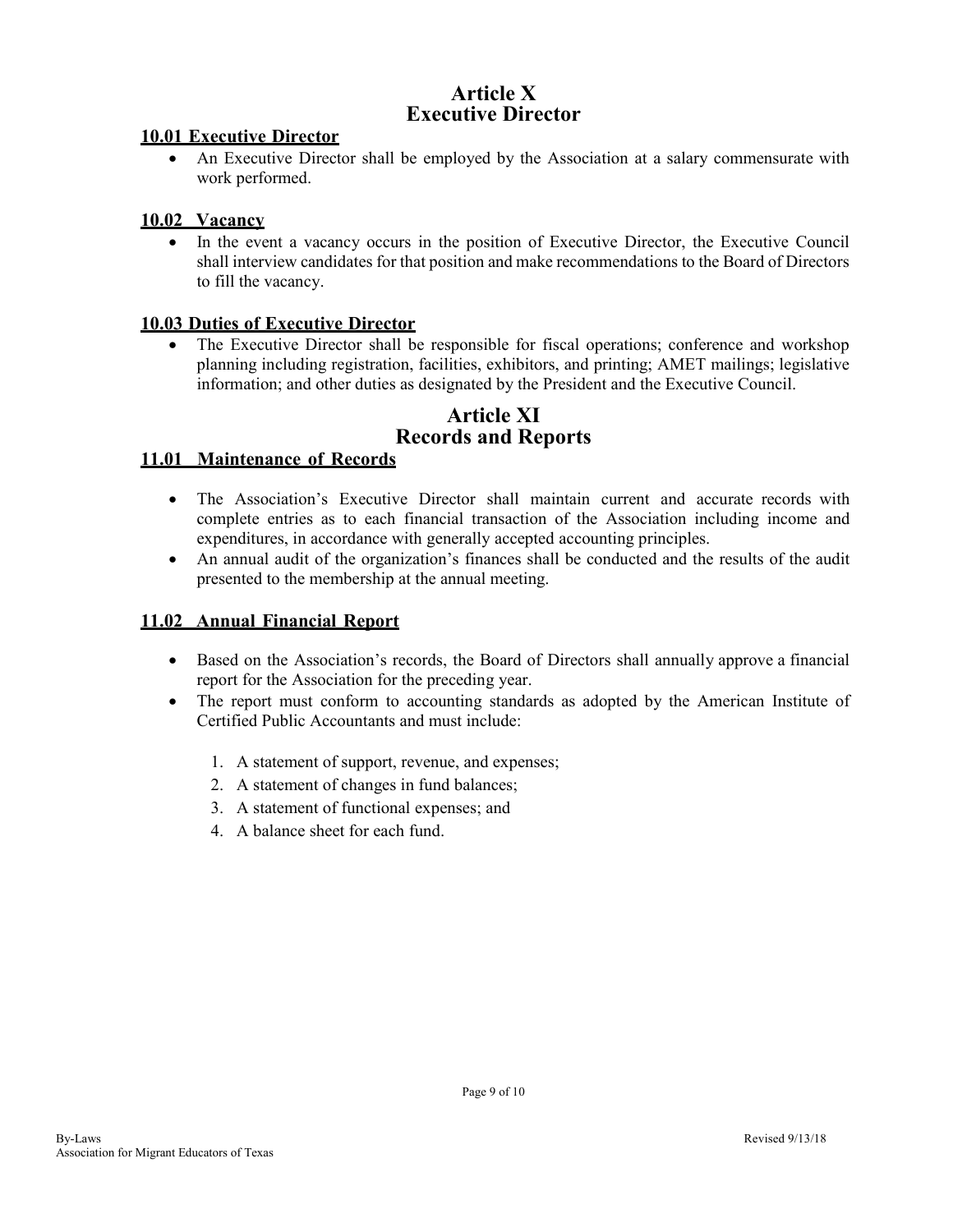# **Article X Executive Director**

#### **10.01 Executive Director**

 An Executive Director shall be employed by the Association at a salary commensurate with work performed.

#### **10.02 Vacancy**

 In the event a vacancy occurs in the position of Executive Director, the Executive Council shall interview candidates for that position and make recommendations to the Board of Directors to fill the vacancy.

#### **10.03 Duties of Executive Director**

 The Executive Director shall be responsible for fiscal operations; conference and workshop planning including registration, facilities, exhibitors, and printing; AMET mailings; legislative information; and other duties as designated by the President and the Executive Council.

# **Article XI Records and Reports**

#### **11.01 Maintenance of Records**

- The Association's Executive Director shall maintain current and accurate records with complete entries as to each financial transaction of the Association including income and expenditures, in accordance with generally accepted accounting principles.
- An annual audit of the organization's finances shall be conducted and the results of the audit presented to the membership at the annual meeting.

#### **11.02 Annual Financial Report**

- Based on the Association's records, the Board of Directors shall annually approve a financial report for the Association for the preceding year.
- The report must conform to accounting standards as adopted by the American Institute of Certified Public Accountants and must include:
	- 1. A statement of support, revenue, and expenses;
	- 2. A statement of changes in fund balances;
	- 3. A statement of functional expenses; and
	- 4. A balance sheet for each fund.